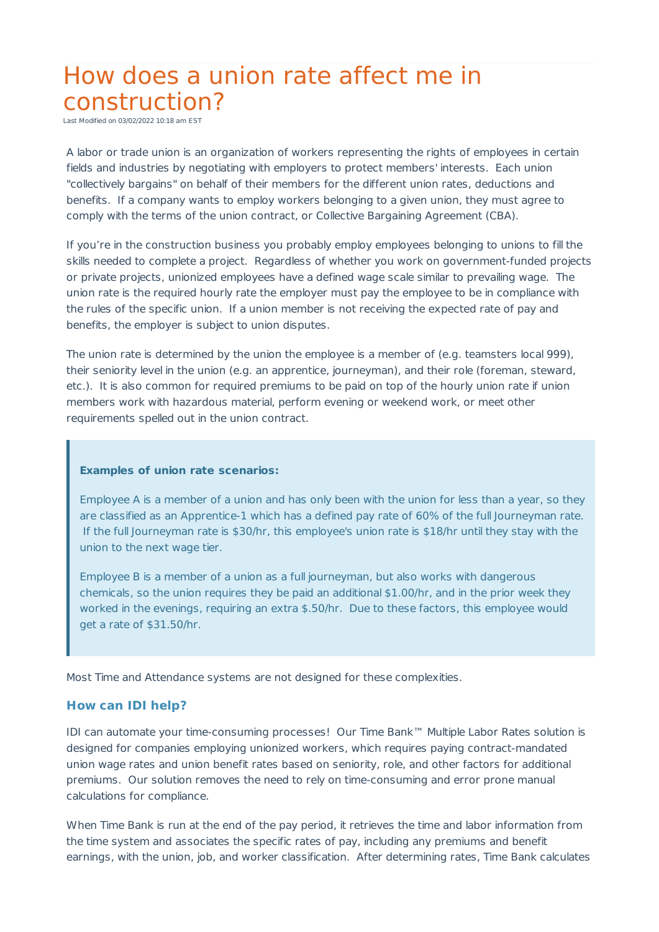## How does a union rate affect me in construction?

Last Modified on 03/02/2022 10:18 am EST

A labor or trade union is an organization of workers representing the rights of employees in certain fields and industries by negotiating with employers to protect members' interests. Each union "collectively bargains" on behalf of their members for the different union rates, deductions and benefits. If a company wants to employ workers belonging to a given union, they must agree to comply with the terms of the union contract, or Collective Bargaining Agreement (CBA).

If you're in the construction business you probably employ employees belonging to unions to fill the skills needed to complete a project. Regardless of whether you work on government-funded projects or private projects, unionized employees have a defined wage scale similar to prevailing wage. The union rate is the required hourly rate the employer must pay the employee to be in compliance with the rules of the specific union. If a union member is not receiving the expected rate of pay and benefits, the employer is subject to union disputes.

The union rate is determined by the union the employee is a member of (e.g. teamsters local 999), their seniority level in the union (e.g. an apprentice, journeyman), and their role (foreman, steward, etc.). It is also common for required premiums to be paid on top of the hourly union rate if union members work with hazardous material, perform evening or weekend work, or meet other requirements spelled out in the union contract.

## **Examples of union rate scenarios:**

Employee A is a member of a union and has only been with the union for less than a year, so they are classified as an Apprentice-1 which has a defined pay rate of 60% of the full Journeyman rate. If the full Journeyman rate is \$30/hr, this employee's union rate is \$18/hr until they stay with the union to the next wage tier.

Employee B is a member of a union as a full journeyman, but also works with dangerous chemicals, so the union requires they be paid an additional \$1.00/hr, and in the prior week they worked in the evenings, requiring an extra \$.50/hr. Due to these factors, this employee would get a rate of \$31.50/hr.

Most Time and Attendance systems are not designed for these complexities.

## **How can IDI help?**

IDI can automate your time-consuming processes! Our Time Bank™ Multiple Labor Rates solution is designed for companies employing unionized workers, which requires paying contract-mandated union wage rates and union benefit rates based on seniority, role, and other factors for additional premiums. Our solution removes the need to rely on time-consuming and error prone manual calculations for compliance.

When Time Bank is run at the end of the pay period, it retrieves the time and labor information from the time system and associates the specific rates of pay, including any premiums and benefit earnings, with the union, job, and worker classification. After determining rates, Time Bank calculates